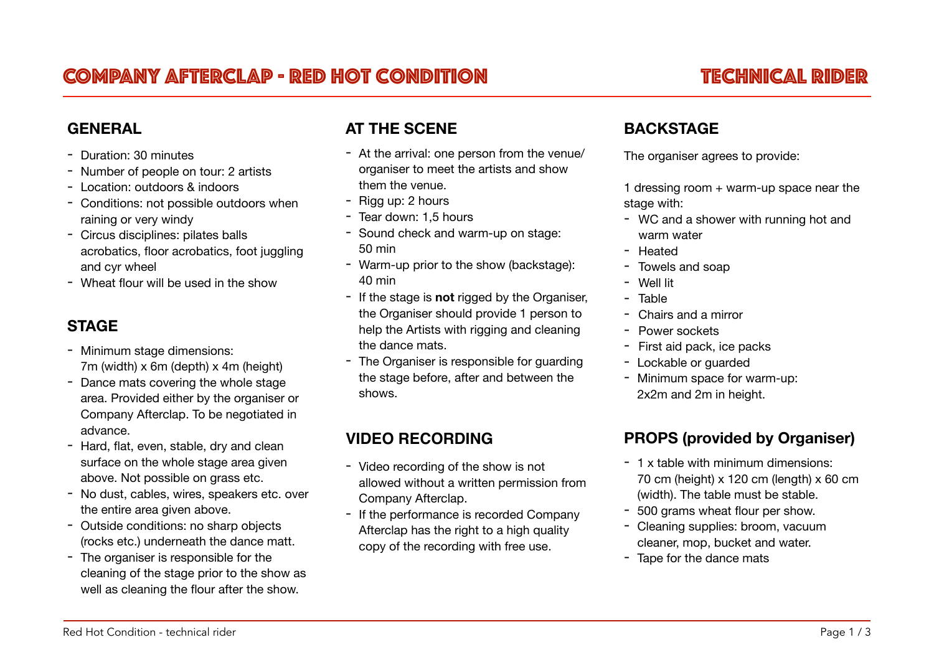# COMPANY AFTERCLAP - RED HOT CONDITION TECHNICAL RIDER

#### **GENERAL**

- Duration: 30 minutes
- Number of people on tour: 2 artists
- Location: outdoors & indoors
- Conditions: not possible outdoors when raining or very windy
- Circus disciplines: pilates balls acrobatics, floor acrobatics, foot juggling and cyr wheel
- Wheat flour will be used in the show

## **STAGE**

- Minimum stage dimensions: 7m (width) x 6m (depth) x 4m (height)
- Dance mats covering the whole stage area. Provided either by the organiser or Company Afterclap. To be negotiated in advance.
- Hard, flat, even, stable, dry and clean surface on the whole stage area given above. Not possible on grass etc.
- No dust, cables, wires, speakers etc. over the entire area given above.
- Outside conditions: no sharp objects (rocks etc.) underneath the dance matt.
- The organiser is responsible for the cleaning of the stage prior to the show as well as cleaning the flour after the show.

#### **AT THE SCENE**

- At the arrival: one person from the venue/ organiser to meet the artists and show them the venue.
- Rigg up: 2 hours
- Tear down: 1,5 hours
- Sound check and warm-up on stage: 50 min
- Warm-up prior to the show (backstage): 40 min
- If the stage is **not** rigged by the Organiser, the Organiser should provide 1 person to help the Artists with rigging and cleaning the dance mats.
- The Organiser is responsible for guarding the stage before, after and between the shows.

#### **VIDEO RECORDING**

- Video recording of the show is not allowed without a written permission from Company Afterclap.
- If the performance is recorded Company Afterclap has the right to a high quality copy of the recording with free use.

#### **BACKSTAGE**

The organiser agrees to provide:

1 dressing room + warm-up space near the stage with:

- WC and a shower with running hot and warm water
- Heated
- Towels and soap
- Well lit
- Table
- Chairs and a mirror
- Power sockets
- First aid pack, ice packs
- Lockable or guarded
- Minimum space for warm-up: 2x2m and 2m in height.

### **PROPS (provided by Organiser)**

- 1 x table with minimum dimensions: 70 cm (height)  $x$  120 cm (length)  $x$  60 cm (width). The table must be stable.
- 500 grams wheat flour per show.
- Cleaning supplies: broom, vacuum cleaner, mop, bucket and water.
- Tape for the dance mats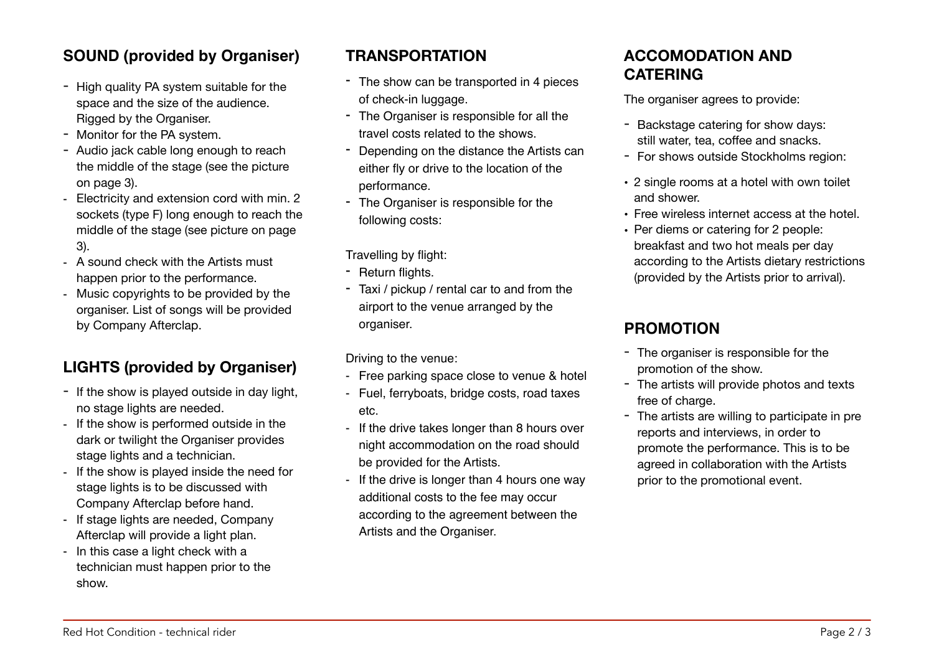# **SOUND (provided by Organiser)**

- High quality PA system suitable for the space and the size of the audience. Rigged by the Organiser.
- Monitor for the PA system.
- Audio jack cable long enough to reach the middle of the stage (see the picture on page 3).
- Electricity and extension cord with min. 2 sockets (type F) long enough to reach the middle of the stage (see picture on page 3).
- A sound check with the Artists must happen prior to the performance.
- Music copyrights to be provided by the organiser. List of songs will be provided by Company Afterclap.

# **LIGHTS (provided by Organiser)**

- If the show is played outside in day light, no stage lights are needed.
- If the show is performed outside in the dark or twilight the Organiser provides stage lights and a technician.
- If the show is played inside the need for stage lights is to be discussed with Company Afterclap before hand.
- If stage lights are needed, Company Afterclap will provide a light plan.
- In this case a light check with a technician must happen prior to the show.

## **TRANSPORTATION**

- The show can be transported in 4 pieces of check-in luggage.
- The Organiser is responsible for all the travel costs related to the shows.
- Depending on the distance the Artists can either fly or drive to the location of the performance.
- The Organiser is responsible for the following costs:

Travelling by flight:

- Return flights.
- Taxi / pickup / rental car to and from the airport to the venue arranged by the organiser.

Driving to the venue:

- Free parking space close to venue & hotel
- Fuel, ferryboats, bridge costs, road taxes etc.
- If the drive takes longer than 8 hours over night accommodation on the road should be provided for the Artists.
- If the drive is longer than 4 hours one way additional costs to the fee may occur according to the agreement between the Artists and the Organiser.

### **ACCOMODATION AND CATERING**

The organiser agrees to provide:

- Backstage catering for show days: still water, tea, coffee and snacks.
- For shows outside Stockholms region:
- 2 single rooms at a hotel with own toilet and shower.
- Free wireless internet access at the hotel.
- Per diems or catering for 2 people: breakfast and two hot meals per day according to the Artists dietary restrictions (provided by the Artists prior to arrival).

# **PROMOTION**

- The organiser is responsible for the promotion of the show.
- The artists will provide photos and texts free of charge.
- The artists are willing to participate in pre reports and interviews, in order to promote the performance. This is to be agreed in collaboration with the Artists prior to the promotional event.